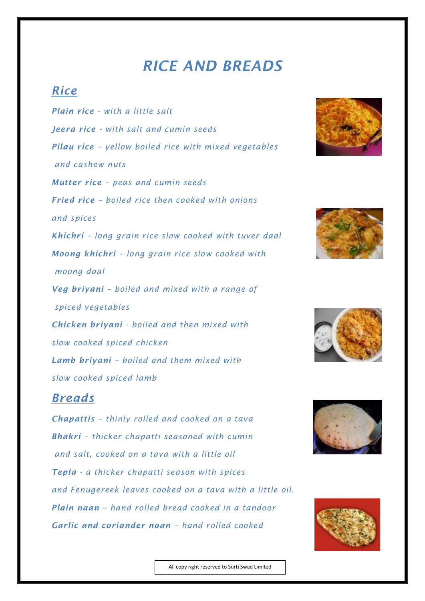## *RICE AND BREADS*

## *Rice*

*Plain rice - with a little salt Jeera rice - with salt and cumin seeds Pilau rice – yellow boiled rice with mixed vegetables and cashew nuts Mutter rice – peas and cumin seeds Fried rice – boiled rice then cooked with onions and spices Khichri – long grain rice slow cooked with tuver daal Moong khichri – long grain rice slow cooked with moong daal Veg briyani – boiled and mixed with a range of spiced vegetables Chicken briyani - boiled and then mixed with slow cooked spiced chicken Lamb briyani – boiled and them mixed with slow cooked spiced lamb* 

## *Breads*

*Chapattis – thinly rolled and cooked on a tava Bhakri – thicker chapatti seasoned with cumin and salt, cooked on a tava with a little oil Tepla - a thicker chapatti season with spices and Fenugereek leaves cooked on a tava with a little oil. Plain naan – hand rolled bread cooked in a tandoor Garlic and coriander naan – hand rolled cooked*